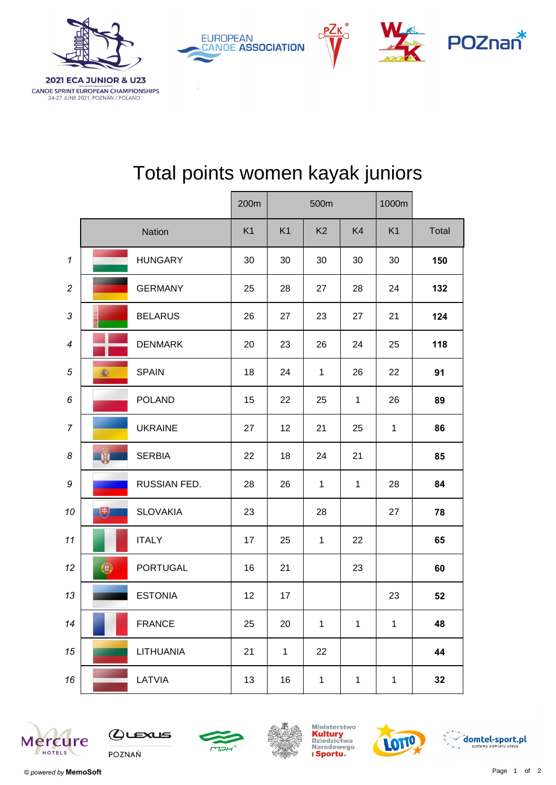

| <b>2021 ECA JUNIOR &amp; U23</b>                                               |  |  |  |  |  |  |
|--------------------------------------------------------------------------------|--|--|--|--|--|--|
| <b>CANOE SPRINT EUROPEAN CHAMPIONSHIPS</b><br>24-27 JUNE 2021, POZNAN / POLAND |  |  |  |  |  |  |

|                  |            |                 | 200m | 500m           |                |              | 1000m          |       |
|------------------|------------|-----------------|------|----------------|----------------|--------------|----------------|-------|
|                  |            | Nation          | K1   | K <sub>1</sub> | K <sub>2</sub> | K4           | K <sub>1</sub> | Total |
| $\mathbf{1}$     |            | <b>HUNGARY</b>  | 30   | 30             | 30             | 30           | 30             | 150   |
| $\overline{c}$   |            | <b>GERMANY</b>  | 25   | 28             | 27             | 28           | 24             | 132   |
| 3                |            | <b>BELARUS</b>  | 26   | 27             | 23             | 27           | 21             | 124   |
| $\boldsymbol{4}$ |            | <b>DENMARK</b>  | 20   | 23             | 26             | 24           | 25             | 118   |
| 5                | 高          | <b>SPAIN</b>    | 18   | 24             | $\mathbf{1}$   | 26           | 22             | 91    |
| 6                |            | <b>POLAND</b>   | 15   | 22             | 25             | $\mathbf{1}$ | 26             | 89    |
| $\overline{7}$   |            | <b>UKRAINE</b>  | 27   | 12             | 21             | 25           | $\mathbf{1}$   | 86    |
| 8                | <b>LET</b> | <b>SERBIA</b>   | 22   | 18             | 24             | 21           |                | 85    |
| 9                |            | RUSSIAN FED.    | 28   | 26             | $\mathbf{1}$   | $\mathbf{1}$ | 28             | 84    |
| 10               | 电          | <b>SLOVAKIA</b> | 23   |                | 28             |              | 27             | 78    |
| 11               |            | <b>ITALY</b>    | 17   | 25             | $\mathbf{1}$   | 22           |                | 65    |
| 12               | $\bigcirc$ | <b>PORTUGAL</b> | 16   | 21             |                | 23           |                | 60    |
| 13               |            | <b>ESTONIA</b>  | 12   | 17             |                |              | 23             | 52    |
| 14               |            | <b>FRANCE</b>   | 25   | 20             | $\mathbf{1}$   | $\mathbf{1}$ | $\mathbf 1$    | 48    |
| 15               |            | LITHUANIA       | 21   | $\mathbf{1}$   | 22             |              |                | 44    |
| 16               |            | LATVIA          | 13   | 16             | $\mathbf{1}$   | $\mathbf{1}$ | $\mathbf{1}$   | 32    |

## Total points women kayak juniors